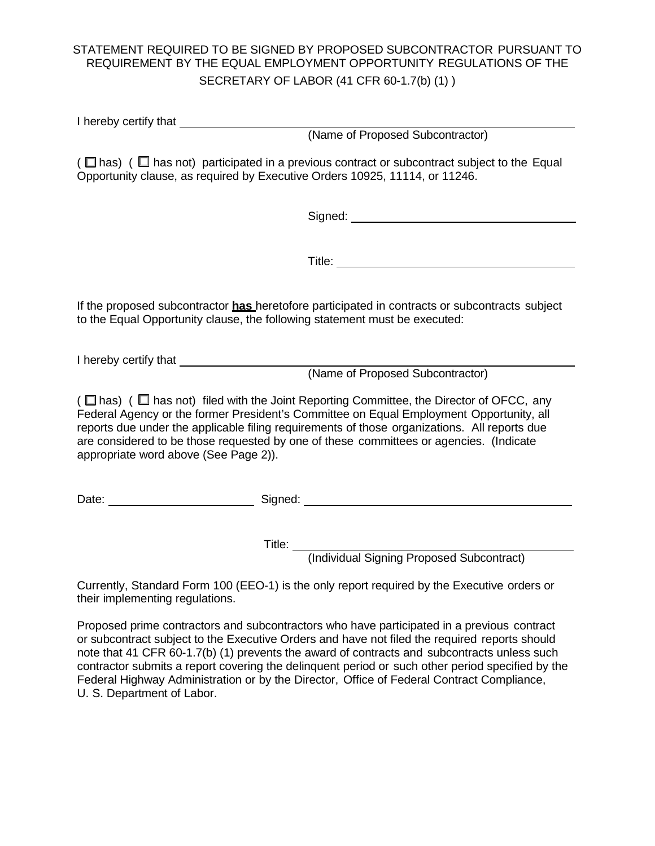## STATEMENT REQUIRED TO BE SIGNED BY PROPOSED SUBCONTRACTOR PURSUANT TO REQUIREMENT BY THE EQUAL EMPLOYMENT OPPORTUNITY REGULATIONS OF THE SECRETARY OF LABOR (41 CFR 60-1.7(b) (1) )

I hereby certify that

(Name of Proposed Subcontractor)

( $\Box$  has) ( $\Box$  has not) participated in a previous contract or subcontract subject to the Equal Opportunity clause, as required by Executive Orders 10925, 11114, or 11246.

Signed:

Title:

If the proposed subcontractor **has** heretofore participated in contracts or subcontracts subject to the Equal Opportunity clause, the following statement must be executed:

I hereby certify that

(Name of Proposed Subcontractor)

( $\Box$  has) ( $\Box$  has not) filed with the Joint Reporting Committee, the Director of OFCC, any Federal Agency or the former President's Committee on Equal Employment Opportunity, all reports due under the applicable filing requirements of those organizations. All reports due are considered to be those requested by one of these committees or agencies. (Indicate appropriate word above (See Page 2)).

Date: \_\_\_\_\_\_\_\_\_\_\_\_\_\_\_\_\_\_\_\_\_\_\_\_\_\_\_\_\_\_\_\_\_\_\_Signed: \_\_\_\_\_\_\_\_\_\_\_\_\_\_\_\_\_\_\_\_\_\_\_\_\_\_\_\_\_\_\_\_

Title:

(Individual Signing Proposed Subcontract)

Currently, Standard Form 100 (EEO-1) is the only report required by the Executive orders or their implementing regulations.

Proposed prime contractors and subcontractors who have participated in a previous contract or subcontract subject to the Executive Orders and have not filed the required reports should note that 41 CFR 60-1.7(b) (1) prevents the award of contracts and subcontracts unless such contractor submits a report covering the delinquent period or such other period specified by the Federal Highway Administration or by the Director, Office of Federal Contract Compliance, U. S. Department of Labor.